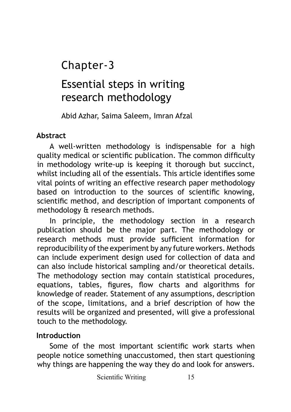# Chapter-3

# Essential steps in writing research methodology

Abid Azhar, Saima Saleem, Imran Afzal

## **Abstract**

A well-written methodology is indispensable for a high quality medical or scientific publication. The common difficulty in methodology write-up is keeping it thorough but succinct, whilst including all of the essentials. This article identifies some vital points of writing an effective research paper methodology based on introduction to the sources of scientific knowing, scientific method, and description of important components of methodology & research methods.

In principle, the methodology section in a research publication should be the major part. The methodology or research methods must provide sufficient information for reproducibility of the experiment by any future workers. Methods can include experiment design used for collection of data and can also include historical sampling and/or theoretical details. The methodology section may contain statistical procedures, equations, tables, figures, flow charts and algorithms for knowledge of reader. Statement of any assumptions, description of the scope, limitations, and a brief description of how the results will be organized and presented, will give a professional touch to the methodology.

### **Introduction**

Some of the most important scientific work starts when people notice something unaccustomed, then start questioning why things are happening the way they do and look for answers.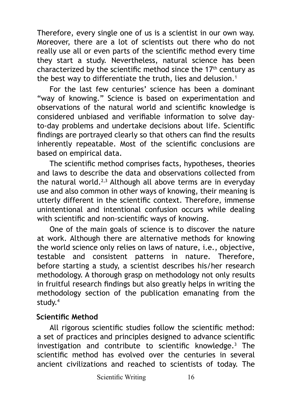Therefore, every single one of us is a scientist in our own way. Moreover, there are a lot of scientists out there who do not really use all or even parts of the scientific method every time they start a study. Nevertheless, natural science has been characterized by the scientific method since the  $17<sup>th</sup>$  century as the best way to differentiate the truth, lies and delusion.<sup>1</sup>

For the last few centuries' science has been a dominant "way of knowing." Science is based on experimentation and observations of the natural world and scientific knowledge is considered unbiased and verifiable information to solve dayto-day problems and undertake decisions about life. Scientific findings are portrayed clearly so that others can find the results inherently repeatable. Most of the scientific conclusions are based on empirical data.

The scientific method comprises facts, hypotheses, theories and laws to describe the data and observations collected from the natural world.<sup>2,3</sup> Although all above terms are in everyday use and also common in other ways of knowing, their meaning is utterly different in the scientific context. Therefore, immense unintentional and intentional confusion occurs while dealing with scientific and non-scientific ways of knowing.

One of the main goals of science is to discover the nature at work. Although there are alternative methods for knowing the world science only relies on laws of nature, i.e., objective, testable and consistent patterns in nature. Therefore, before starting a study, a scientist describes his/her research methodology. A thorough grasp on methodology not only results in fruitful research findings but also greatly helps in writing the methodology section of the publication emanating from the study.<sup>4</sup>

#### **Scientific Method**

All rigorous scientific studies follow the scientific method: a set of practices and principles designed to advance scientific investigation and contribute to scientific knowledge.<sup>3</sup> The scientific method has evolved over the centuries in several ancient civilizations and reached to scientists of today. The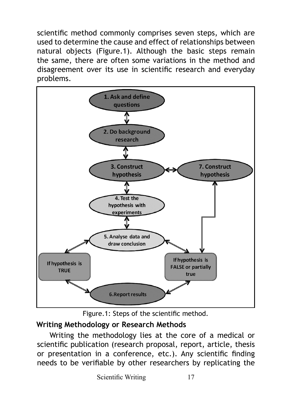scientific method commonly comprises seven steps, which are used to determine the cause and effect of relationships between natural objects (Figure.1). Although the basic steps remain the same, there are often some variations in the method and disagreement over its use in scientific research and everyday problems.



Figure.1: Steps of the scientific method.

## **Writing Methodology or Research Methods**

Writing the methodology lies at the core of a medical or scientific publication (research proposal, report, article, thesis or presentation in a conference, etc.). Any scientific finding needs to be verifiable by other researchers by replicating the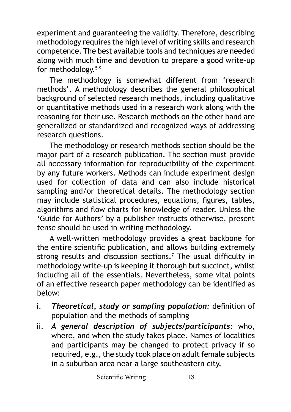experiment and guaranteeing the validity. Therefore, describing methodology requires the high level of writing skills and research competence. The best available tools and techniques are needed along with much time and devotion to prepare a good write-up for methodology.5-9

The methodology is somewhat different from 'research methods'. A methodology describes the general philosophical background of selected research methods, including qualitative or quantitative methods used in a research work along with the reasoning for their use. Research methods on the other hand are generalized or standardized and recognized ways of addressing research questions.

The methodology or research methods section should be the major part of a research publication. The section must provide all necessary information for reproducibility of the experiment by any future workers. Methods can include experiment design used for collection of data and can also include historical sampling and/or theoretical details. The methodology section may include statistical procedures, equations, figures, tables, algorithms and flow charts for knowledge of reader. Unless the 'Guide for Authors' by a publisher instructs otherwise, present tense should be used in writing methodology.

A well-written methodology provides a great backbone for the entire scientific publication, and allows building extremely strong results and discussion sections.7 The usual difficulty in methodology write-up is keeping it thorough but succinct, whilst including all of the essentials. Nevertheless, some vital points of an effective research paper methodology can be identified as below:

- i. *Theoretical, study or sampling population:* definition of population and the methods of sampling
- ii. *A general description of subjects/participants:* who, where, and when the study takes place. Names of localities and participants may be changed to protect privacy if so required, e.g., the study took place on adult female subjects in a suburban area near a large southeastern city.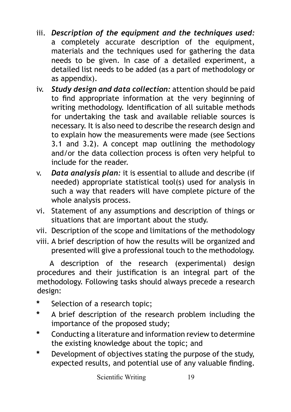- iii. *Description of the equipment and the techniques used:* a completely accurate description of the equipment, materials and the techniques used for gathering the data needs to be given. In case of a detailed experiment, a detailed list needs to be added (as a part of methodology or as appendix).
- iv. *Study design and data collection:* attention should be paid to find appropriate information at the very beginning of writing methodology. Identification of all suitable methods for undertaking the task and available reliable sources is necessary. It is also need to describe the research design and to explain how the measurements were made (see Sections 3.1 and 3.2). A concept map outlining the methodology and/or the data collection process is often very helpful to include for the reader.
- v. *Data analysis plan:* it is essential to allude and describe (if needed) appropriate statistical tool(s) used for analysis in such a way that readers will have complete picture of the whole analysis process.
- vi. Statement of any assumptions and description of things or situations that are important about the study.
- vii. Description of the scope and limitations of the methodology
- viii. A brief description of how the results will be organized and presented will give a professional touch to the methodology.

A description of the research (experimental) design procedures and their justification is an integral part of the methodology. Following tasks should always precede a research design:

- **\*** Selection of a research topic;
- **\*** A brief description of the research problem including the importance of the proposed study;
- **\*** Conducting a literature and information review to determine the existing knowledge about the topic; and
- **\*** Development of objectives stating the purpose of the study, expected results, and potential use of any valuable finding.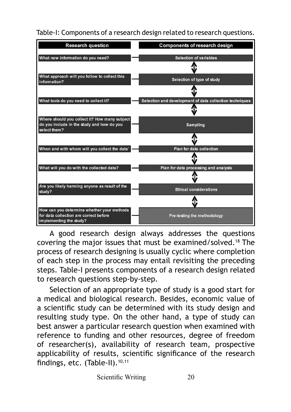Table-I: Components of a research design related to research questions.



A good research design always addresses the questions covering the major issues that must be examined/solved.18 The process of research designing is usually cyclic where completion of each step in the process may entail revisiting the preceding steps. Table-I presents components of a research design related to research questions step-by-step.

Selection of an appropriate type of study is a good start for a medical and biological research. Besides, economic value of a scientific study can be determined with its study design and resulting study type. On the other hand, a type of study can best answer a particular research question when examined with reference to funding and other resources, degree of freedom of researcher(s), availability of research team, prospective applicability of results, scientific significance of the research findings, etc. (Table-II).<sup>10,11</sup>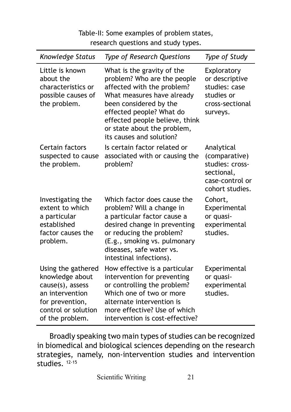### Table-II: Some examples of problem states, research questions and study types.

| <b>Knowledge Status</b>                                                                                                                   | Type of Research Questions                                                                                                                                                                                                                                               | Type of Study                                                                                      |
|-------------------------------------------------------------------------------------------------------------------------------------------|--------------------------------------------------------------------------------------------------------------------------------------------------------------------------------------------------------------------------------------------------------------------------|----------------------------------------------------------------------------------------------------|
| Little is known<br>about the<br>characteristics or<br>possible causes of<br>the problem.                                                  | What is the gravity of the<br>problem? Who are the people<br>affected with the problem?<br>What measures have already<br>been considered by the<br>effected people? What do<br>effected people believe, think<br>or state about the problem,<br>its causes and solution? | Exploratory<br>or descriptive<br>studies: case<br>studies or<br>cross-sectional<br>surveys.        |
| Certain factors<br>suspected to cause<br>the problem.                                                                                     | Is certain factor related or<br>associated with or causing the<br>problem?                                                                                                                                                                                               | Analytical<br>(comparative)<br>studies: cross-<br>sectional,<br>case-control or<br>cohort studies. |
| Investigating the<br>extent to which<br>a particular<br>established<br>factor causes the<br>problem.                                      | Which factor does cause the<br>problem? Will a change in<br>a particular factor cause a<br>desired change in preventing<br>or reducing the problem?<br>(E.g., smoking vs. pulmonary<br>diseases, safe water vs.<br>intestinal infections).                               | Cohort,<br>Experimental<br>or quasi-<br>experimental<br>studies.                                   |
| Using the gathered<br>knowledge about<br>cause(s), assess<br>an intervention<br>for prevention,<br>control or solution<br>of the problem. | How effective is a particular<br>intervention for preventing<br>or controlling the problem?<br>Which one of two or more<br>alternate intervention is<br>more effective? Use of which<br>intervention is cost-effective?                                                  | Experimental<br>or quasi-<br>experimental<br>studies.                                              |

Broadly speaking two main types of studies can be recognized in biomedical and biological sciences depending on the research strategies, namely, non-intervention studies and intervention studies. 12-15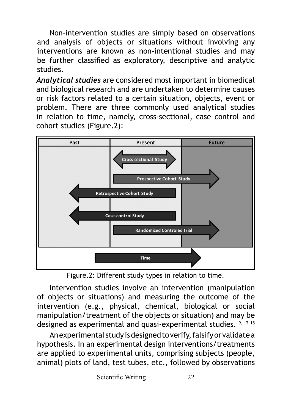Non-intervention studies are simply based on observations and analysis of objects or situations without involving any interventions are known as non-intentional studies and may be further classified as exploratory, descriptive and analytic studies.

*Analytical studies* are considered most important in biomedical and biological research and are undertaken to determine causes or risk factors related to a certain situation, objects, event or problem. There are three commonly used analytical studies in relation to time, namely, cross-sectional, case control and cohort studies (Figure.2):



Figure.2: Different study types in relation to time.

Intervention studies involve an intervention (manipulation of objects or situations) and measuring the outcome of the intervention (e.g., physical, chemical, biological or social manipulation/treatment of the objects or situation) and may be designed as experimental and quasi-experimental studies. 9, 12-15

An experimental study is designed to verify, falsify or validate a hypothesis. In an experimental design interventions/treatments are applied to experimental units, comprising subjects (people, animal) plots of land, test tubes, etc., followed by observations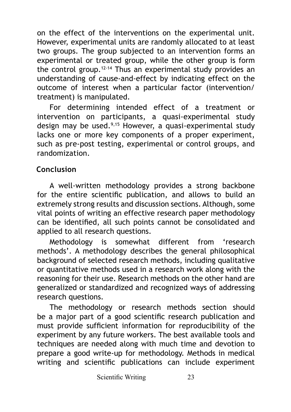on the effect of the interventions on the experimental unit. However, experimental units are randomly allocated to at least two groups. The group subjected to an intervention forms an experimental or treated group, while the other group is form the control group.<sup>12-14</sup> Thus an experimental study provides an understanding of cause-and-effect by indicating effect on the outcome of interest when a particular factor (intervention/ treatment) is manipulated.

For determining intended effect of a treatment or intervention on participants, a quasi-experimental study design may be used.9,15 However, a quasi-experimental study lacks one or more key components of a proper experiment, such as pre-post testing, experimental or control groups, and randomization.

## **Conclusion**

A well-written methodology provides a strong backbone for the entire scientific publication, and allows to build an extremely strong results and discussion sections. Although, some vital points of writing an effective research paper methodology can be identified, all such points cannot be consolidated and applied to all research questions.

Methodology is somewhat different from 'research methods'. A methodology describes the general philosophical background of selected research methods, including qualitative or quantitative methods used in a research work along with the reasoning for their use. Research methods on the other hand are generalized or standardized and recognized ways of addressing research questions.

The methodology or research methods section should be a major part of a good scientific research publication and must provide sufficient information for reproducibility of the experiment by any future workers. The best available tools and techniques are needed along with much time and devotion to prepare a good write-up for methodology. Methods in medical writing and scientific publications can include experiment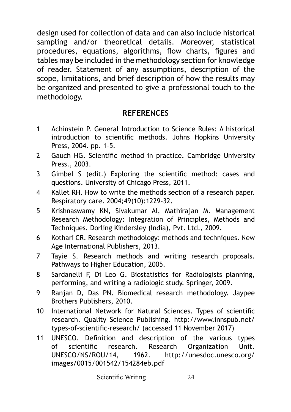design used for collection of data and can also include historical sampling and/or theoretical details. Moreover, statistical procedures, equations, algorithms, flow charts, figures and tables may be included in the methodology section for knowledge of reader. Statement of any assumptions, description of the scope, limitations, and brief description of how the results may be organized and presented to give a professional touch to the methodology.

## **REFERENCES**

- 1 Achinstein P. General Introduction to Science Rules: A historical introduction to scientific methods. Johns Hopkins University Press, 2004. pp. 1–5.
- 2 Gauch HG. Scientific method in practice. Cambridge University Press., 2003.
- 3 Gimbel S (edit.) Exploring the scientific method: cases and questions. University of Chicago Press, 2011.
- 4 Kallet RH. How to write the methods section of a research paper. Respiratory care. 2004;49(10):1229-32.
- 5 Krishnaswamy KN, Sivakumar AI, Mathirajan M. Management Research Methodology: Integration of Principles, Methods and Techniques. Dorling Kindersley (India), Pvt. Ltd., 2009.
- 6 Kothari CR. Research methodology: methods and techniques. New Age International Publishers, 2013.
- 7 Tayie S. Research methods and writing research proposals. Pathways to Higher Education, 2005.
- 8 Sardanelli F, Di Leo G. Biostatistics for Radiologists planning, performing, and writing a radiologic study. Springer, 2009.
- 9 Ranjan D, Das PN. Biomedical research methodology. Jaypee Brothers Publishers, 2010.
- 10 International Network for Natural Sciences. Types of scientific research. Quality Science Publishing. http://www.innspub.net/ types-of-scientific-research/ (accessed 11 November 2017)
- 11 UNESCO. Definition and description of the various types of scientific research. Research Organization Unit. UNESCO/NS/ROU/14, 1962. http://unesdoc.unesco.org/ images/0015/001542/154284eb.pdf